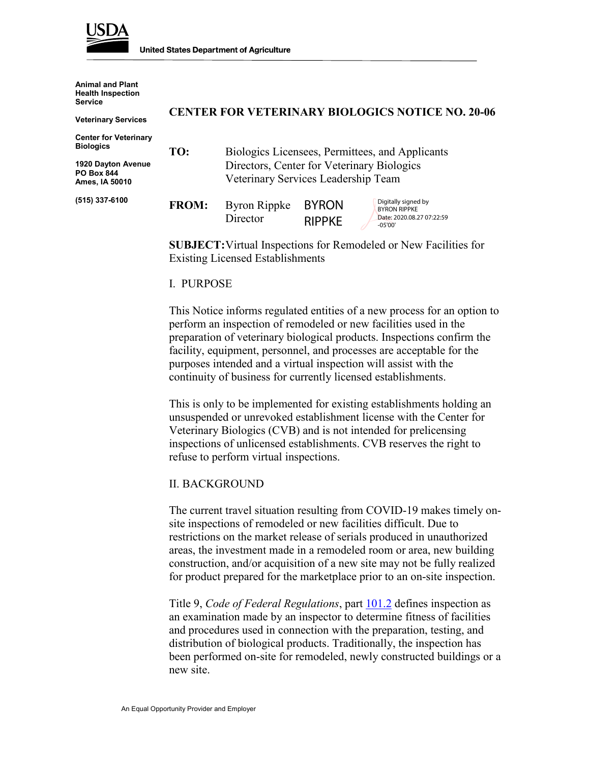

**Animal and Plant Health Inspection Service**

**Veterinary Services**

**Center for Veterinary Biologics**

**1920 Dayton Avenue PO Box 844 Ames, IA 50010**

**(515) 337-6100**

#### **CENTER FOR VETERINARY BIOLOGICS NOTICE NO. 20-06**

**TO:** Biologics Licensees, Permittees, and Applicants Directors, Center for Veterinary Biologics Veterinary Services Leadership Team

| <b>FROM:</b> | Byron Rippke | BYRON         | Digitally signed by<br><b>BYRON RIPPKE</b> |
|--------------|--------------|---------------|--------------------------------------------|
|              | Director     | <b>RIPPKE</b> | Date: 2020.08.27 07:22:59<br>-05'00'       |

**SUBJECT:**Virtual Inspections for Remodeled or New Facilities for Existing Licensed Establishments

#### I. PURPOSE

This Notice informs regulated entities of a new process for an option to perform an inspection of remodeled or new facilities used in the preparation of veterinary biological products. Inspections confirm the facility, equipment, personnel, and processes are acceptable for the purposes intended and a virtual inspection will assist with the continuity of business for currently licensed establishments.

This is only to be implemented for existing establishments holding an unsuspended or unrevoked establishment license with the Center for Veterinary Biologics (CVB) and is not intended for prelicensing inspections of unlicensed establishments. CVB reserves the right to refuse to perform virtual inspections.

#### II. BACKGROUND

The current travel situation resulting from COVID-19 makes timely onsite inspections of remodeled or new facilities difficult. Due to restrictions on the market release of serials produced in unauthorized areas, the investment made in a remodeled room or area, new building construction, and/or acquisition of a new site may not be fully realized for product prepared for the marketplace prior to an on-site inspection.

Title 9, *Code of Federal Regulations*, part [101.2](https://www.ecfr.gov/cgi-bin/text-idx?SID=1ff279964c91c9be224928a18c1b92bc&mc=true&node=pt9.1.101&rgn=div5#se9.1.101_12) defines inspection as an examination made by an inspector to determine fitness of facilities and procedures used in connection with the preparation, testing, and distribution of biological products. Traditionally, the inspection has been performed on-site for remodeled, newly constructed buildings or a new site.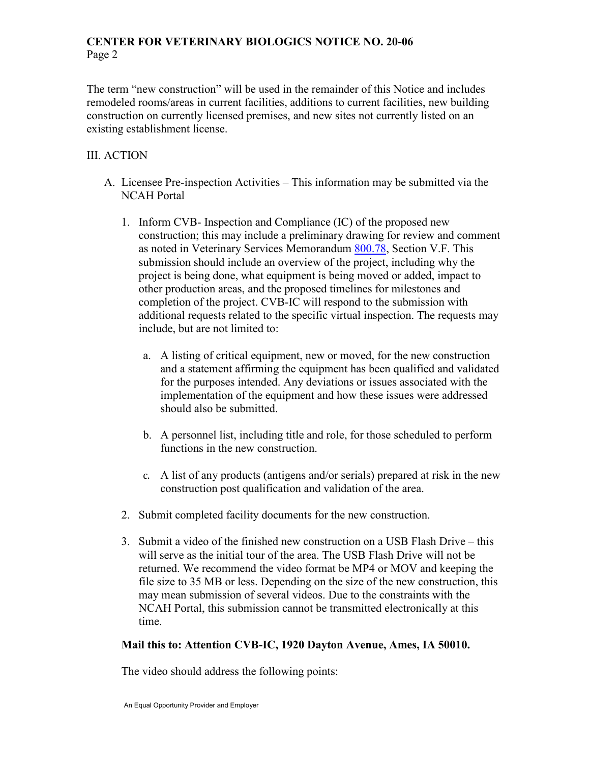# **CENTER FOR VETERINARY BIOLOGICS NOTICE NO. 20-06** Page 2

The term "new construction" will be used in the remainder of this Notice and includes remodeled rooms/areas in current facilities, additions to current facilities, new building construction on currently licensed premises, and new sites not currently listed on an existing establishment license.

# III. ACTION

- A. Licensee Pre-inspection Activities This information may be submitted via the NCAH Portal
	- 1. Inform CVB- Inspection and Compliance (IC) of the proposed new construction; this may include a preliminary drawing for review and comment as noted in Veterinary Services Memorandum [800.78,](https://www.aphis.usda.gov/aphis/ourfocus/animalhealth/veterinary-biologics/biologics-regulations-and-guidance/ct_vb_vs_memos) Section V.F. This submission should include an overview of the project, including why the project is being done, what equipment is being moved or added, impact to other production areas, and the proposed timelines for milestones and completion of the project. CVB-IC will respond to the submission with additional requests related to the specific virtual inspection. The requests may include, but are not limited to:
		- a. A listing of critical equipment, new or moved, for the new construction and a statement affirming the equipment has been qualified and validated for the purposes intended. Any deviations or issues associated with the implementation of the equipment and how these issues were addressed should also be submitted.
		- b. A personnel list, including title and role, for those scheduled to perform functions in the new construction.
		- c. A list of any products (antigens and/or serials) prepared at risk in the new construction post qualification and validation of the area.
	- 2. Submit completed facility documents for the new construction.
	- 3. Submit a video of the finished new construction on a USB Flash Drive this will serve as the initial tour of the area. The USB Flash Drive will not be returned. We recommend the video format be MP4 or MOV and keeping the file size to 35 MB or less. Depending on the size of the new construction, this may mean submission of several videos. Due to the constraints with the NCAH Portal, this submission cannot be transmitted electronically at this time.

# **Mail this to: Attention CVB-IC, 1920 Dayton Avenue, Ames, IA 50010.**

The video should address the following points: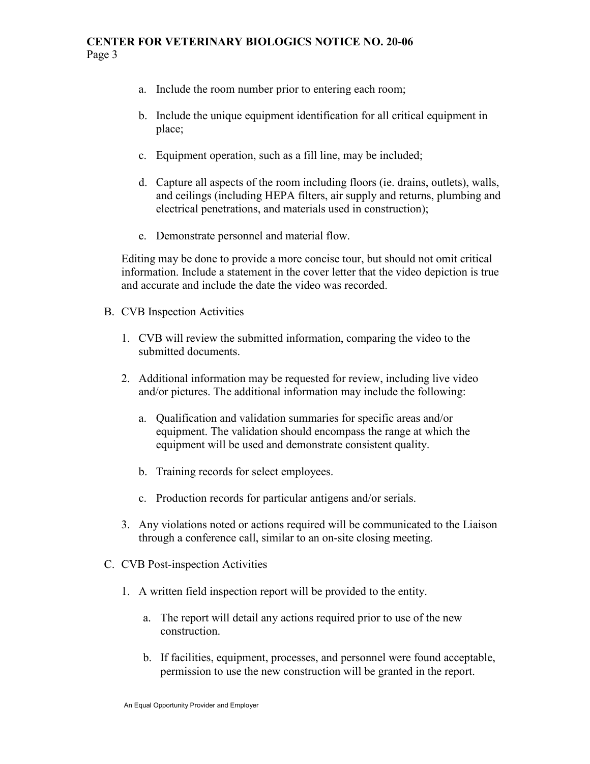#### **CENTER FOR VETERINARY BIOLOGICS NOTICE NO. 20-06** Page 3

- a. Include the room number prior to entering each room;
- b. Include the unique equipment identification for all critical equipment in place;
- c. Equipment operation, such as a fill line, may be included;
- d. Capture all aspects of the room including floors (ie. drains, outlets), walls, and ceilings (including HEPA filters, air supply and returns, plumbing and electrical penetrations, and materials used in construction);
- e. Demonstrate personnel and material flow.

Editing may be done to provide a more concise tour, but should not omit critical information. Include a statement in the cover letter that the video depiction is true and accurate and include the date the video was recorded.

- B. CVB Inspection Activities
	- 1. CVB will review the submitted information, comparing the video to the submitted documents.
	- 2. Additional information may be requested for review, including live video and/or pictures. The additional information may include the following:
		- a. Qualification and validation summaries for specific areas and/or equipment. The validation should encompass the range at which the equipment will be used and demonstrate consistent quality.
		- b. Training records for select employees.
		- c. Production records for particular antigens and/or serials.
	- 3. Any violations noted or actions required will be communicated to the Liaison through a conference call, similar to an on-site closing meeting.
- C. CVB Post-inspection Activities
	- 1. A written field inspection report will be provided to the entity.
		- a. The report will detail any actions required prior to use of the new construction.
		- b. If facilities, equipment, processes, and personnel were found acceptable, permission to use the new construction will be granted in the report.